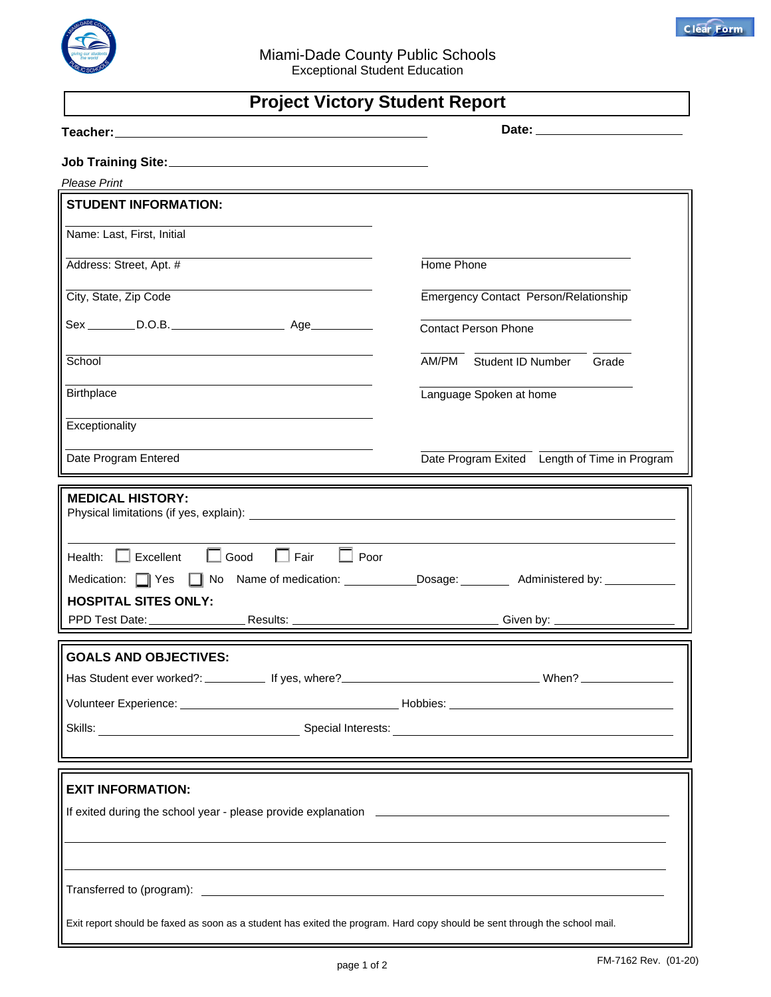

## **Project Victory Student Report**

| <b>Please Print</b>                                                                                                                                                                                                                  |                                               |
|--------------------------------------------------------------------------------------------------------------------------------------------------------------------------------------------------------------------------------------|-----------------------------------------------|
| <b>STUDENT INFORMATION:</b>                                                                                                                                                                                                          |                                               |
| Name: Last, First, Initial                                                                                                                                                                                                           |                                               |
|                                                                                                                                                                                                                                      |                                               |
| Address: Street, Apt. #                                                                                                                                                                                                              | Home Phone                                    |
| City, State, Zip Code                                                                                                                                                                                                                | Emergency Contact Person/Relationship         |
|                                                                                                                                                                                                                                      | <b>Contact Person Phone</b>                   |
| School                                                                                                                                                                                                                               | AM/PM Student ID Number<br>Grade              |
| <b>Birthplace</b>                                                                                                                                                                                                                    | Language Spoken at home                       |
| Exceptionality                                                                                                                                                                                                                       |                                               |
| Date Program Entered                                                                                                                                                                                                                 | Date Program Exited Length of Time in Program |
|                                                                                                                                                                                                                                      |                                               |
| <b>MEDICAL HISTORY:</b>                                                                                                                                                                                                              |                                               |
|                                                                                                                                                                                                                                      |                                               |
| Health: $\Box$ Excellent $\Box$ Good $\Box$ Fair $\Box$ Poor                                                                                                                                                                         |                                               |
| Medication: Yes Mo Name of medication: _________________Dosage: _________________ Administered by: ___________                                                                                                                       |                                               |
| <b>HOSPITAL SITES ONLY:</b>                                                                                                                                                                                                          |                                               |
|                                                                                                                                                                                                                                      |                                               |
|                                                                                                                                                                                                                                      |                                               |
| <b>GOALS AND OBJECTIVES:</b>                                                                                                                                                                                                         |                                               |
|                                                                                                                                                                                                                                      |                                               |
| Volunteer Experience: <u>New York: New York: New York: New York: New York: New York: New York: New York: New York: New York: New York: New York: New York: New York: New York: New York: New York: New York: New York: New York:</u> |                                               |
|                                                                                                                                                                                                                                      |                                               |
|                                                                                                                                                                                                                                      |                                               |
|                                                                                                                                                                                                                                      |                                               |
| <b>EXIT INFORMATION:</b>                                                                                                                                                                                                             |                                               |
| If exited during the school year - please provide explanation <b>Example 2018</b> 2019 12:00:00 PM 2019 12:00:00 PM 2019 12:00:00 PM 2019 12:00:00 PM 2019 12:00:00 PM 2019 12:00:00 PM 2019 12:00:00 PM 2019 12:00:00 PM 2019 12:0  |                                               |
|                                                                                                                                                                                                                                      |                                               |
|                                                                                                                                                                                                                                      |                                               |
|                                                                                                                                                                                                                                      |                                               |
| Exit report should be faxed as soon as a student has exited the program. Hard copy should be sent through the school mail.                                                                                                           |                                               |
|                                                                                                                                                                                                                                      |                                               |